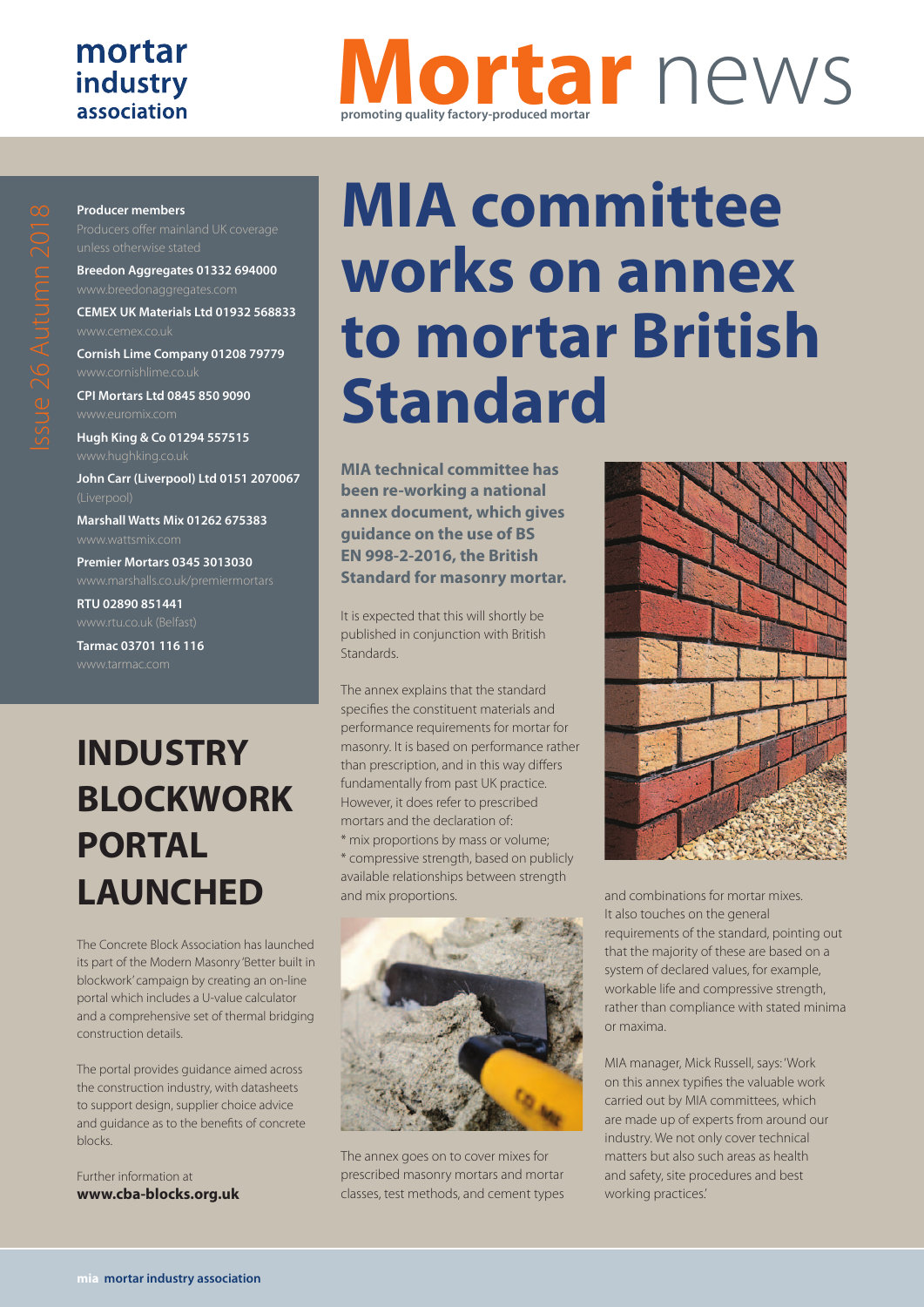### mortar industry association

## **Mortar** news **promoting quality factory-produced mortar**

#### **Producer members**

**Breedon Aggregates 01332 694000**

**CEMEX UK Materials Ltd 01932 568833**

**Cornish Lime Company 01208 79779**

**CPI Mortars Ltd 0845 850 9090**

**Hugh King & Co 01294 557515 John Carr (Liverpool) Ltd 0151 2070067**

**Marshall Watts Mix 01262 675383** www.wattsmix.com

**Premier Mortars 0345 3013030** www.marshalls.co.uk/premiermortars

**RTU 02890 851441**

**Tarmac 03701 116 116**

## **INDUSTRY BLOCKWORK PORTAL LAUNCHED**

The Concrete Block Association has launched its part of the Modern Masonry 'Better built in blockwork' campaign by creating an on-line portal which includes a U-value calculator and a comprehensive set of thermal bridging construction details.

The portal provides guidance aimed across the construction industry, with datasheets to support design, supplier choice advice and guidance as to the benefits of concrete blocks.

Further information at **www.cba-blocks.org.uk**

# **MIA committee works on annex to mortar British Standard**

**MIA technical committee has been re-working a national annex document, which gives guidance on the use of BS EN 998-2-2016, the British Standard for masonry mortar.**

It is expected that this will shortly be published in conjunction with British Standards.

The annex explains that the standard specifies the constituent materials and performance requirements for mortar for masonry. It is based on performance rather than prescription, and in this way differs fundamentally from past UK practice. However, it does refer to prescribed mortars and the declaration of: \* mix proportions by mass or volume; \* compressive strength, based on publicly

available relationships between strength and mix proportions.



The annex goes on to cover mixes for prescribed masonry mortars and mortar classes, test methods, and cement types



and combinations for mortar mixes. It also touches on the general requirements of the standard, pointing out that the majority of these are based on a system of declared values, for example, workable life and compressive strength, rather than compliance with stated minima or maxima.

MIA manager, Mick Russell, says: 'Work on this annex typifies the valuable work carried out by MIA committees, which are made up of experts from around our industry. We not only cover technical matters but also such areas as health and safety, site procedures and best working practices.'